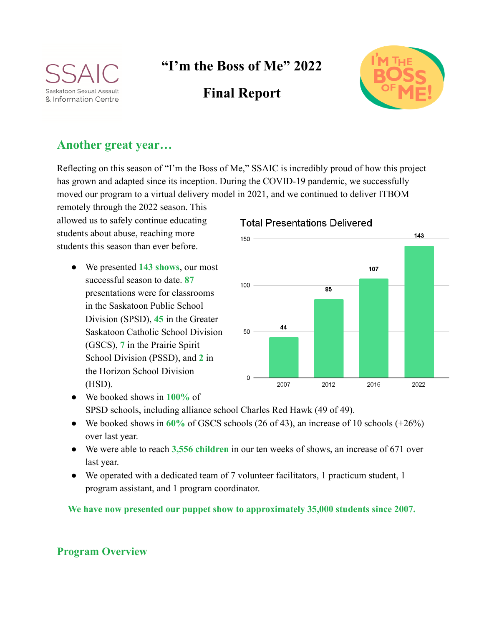

# **"I'm the Boss of Me" 2022**





# **Another great year…**

Reflecting on this season of "I'm the Boss of Me," SSAIC is incredibly proud of how this project has grown and adapted since its inception. During the COVID-19 pandemic, we successfully moved our program to a virtual delivery model in 2021, and we continued to deliver ITBOM

remotely through the 2022 season. This allowed us to safely continue educating students about abuse, reaching more students this season than ever before.

**●** We presented **143 shows**, our most successful season to date. **87** presentations were for classrooms in the Saskatoon Public School Division (SPSD), **45** in the Greater Saskatoon Catholic School Division (GSCS), **7** in the Prairie Spirit School Division (PSSD), and **2** in the Horizon School Division (HSD).

#### **Total Presentations Delivered**



**●** We booked shows in **100%** of SPSD schools, including alliance school Charles Red Hawk (49 of 49).

- **●** We booked shows in **60%** of GSCS schools (26 of 43), an increase of 10 schools (+26%) over last year.
- **●** We were able to reach **3,556 children** in our ten weeks of shows, an increase of 671 over last year.
- **●** We operated with a dedicated team of 7 volunteer facilitators, 1 practicum student, 1 program assistant, and 1 program coordinator.

**We have now presented our puppet show to approximately 35,000 students since 2007.**

#### **Program Overview**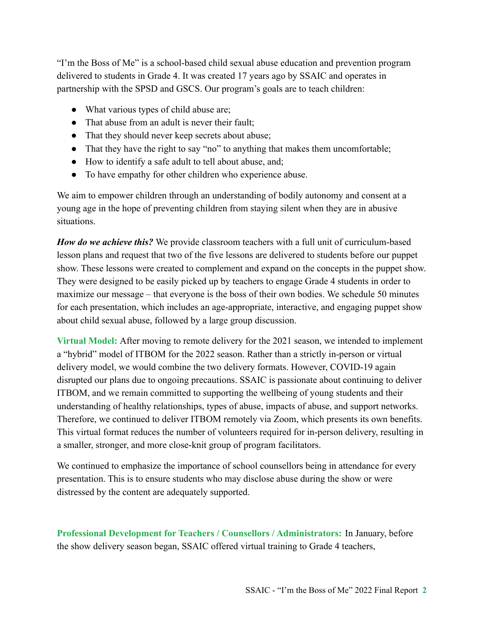"I'm the Boss of Me" is a school-based child sexual abuse education and prevention program delivered to students in Grade 4. It was created 17 years ago by SSAIC and operates in partnership with the SPSD and GSCS. Our program's goals are to teach children:

- What various types of child abuse are;
- That abuse from an adult is never their fault;
- That they should never keep secrets about abuse;
- That they have the right to say "no" to anything that makes them uncomfortable;
- How to identify a safe adult to tell about abuse, and;
- To have empathy for other children who experience abuse.

We aim to empower children through an understanding of bodily autonomy and consent at a young age in the hope of preventing children from staying silent when they are in abusive situations.

*How do we achieve this?* We provide classroom teachers with a full unit of curriculum-based lesson plans and request that two of the five lessons are delivered to students before our puppet show. These lessons were created to complement and expand on the concepts in the puppet show. They were designed to be easily picked up by teachers to engage Grade 4 students in order to maximize our message – that everyone is the boss of their own bodies. We schedule 50 minutes for each presentation, which includes an age-appropriate, interactive, and engaging puppet show about child sexual abuse, followed by a large group discussion.

**Virtual Model:** After moving to remote delivery for the 2021 season, we intended to implement a "hybrid" model of ITBOM for the 2022 season. Rather than a strictly in-person or virtual delivery model, we would combine the two delivery formats. However, COVID-19 again disrupted our plans due to ongoing precautions. SSAIC is passionate about continuing to deliver ITBOM, and we remain committed to supporting the wellbeing of young students and their understanding of healthy relationships, types of abuse, impacts of abuse, and support networks. Therefore, we continued to deliver ITBOM remotely via Zoom, which presents its own benefits. This virtual format reduces the number of volunteers required for in-person delivery, resulting in a smaller, stronger, and more close-knit group of program facilitators.

We continued to emphasize the importance of school counsellors being in attendance for every presentation. This is to ensure students who may disclose abuse during the show or were distressed by the content are adequately supported.

**Professional Development for Teachers / Counsellors / Administrators:** In January, before the show delivery season began, SSAIC offered virtual training to Grade 4 teachers,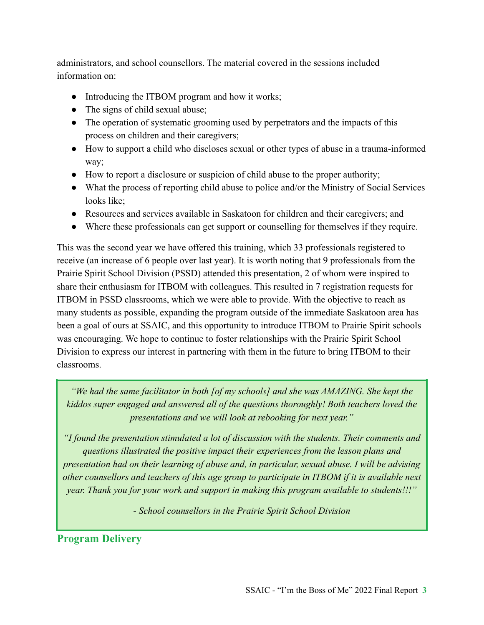administrators, and school counsellors. The material covered in the sessions included information on:

- Introducing the ITBOM program and how it works;
- The signs of child sexual abuse;
- The operation of systematic grooming used by perpetrators and the impacts of this process on children and their caregivers;
- How to support a child who discloses sexual or other types of abuse in a trauma-informed way;
- How to report a disclosure or suspicion of child abuse to the proper authority;
- What the process of reporting child abuse to police and/or the Ministry of Social Services looks like;
- Resources and services available in Saskatoon for children and their caregivers; and
- Where these professionals can get support or counselling for themselves if they require.

This was the second year we have offered this training, which 33 professionals registered to receive (an increase of 6 people over last year). It is worth noting that 9 professionals from the Prairie Spirit School Division (PSSD) attended this presentation, 2 of whom were inspired to share their enthusiasm for ITBOM with colleagues. This resulted in 7 registration requests for ITBOM in PSSD classrooms, which we were able to provide. With the objective to reach as many students as possible, expanding the program outside of the immediate Saskatoon area has been a goal of ours at SSAIC, and this opportunity to introduce ITBOM to Prairie Spirit schools was encouraging. We hope to continue to foster relationships with the Prairie Spirit School Division to express our interest in partnering with them in the future to bring ITBOM to their classrooms.

*"We had the same facilitator in both [of my schools] and she was AMAZING. She kept the kiddos super engaged and answered all of the questions thoroughly! Both teachers loved the presentations and we will look at rebooking for next year."*

*"I found the presentation stimulated a lot of discussion with the students. Their comments and questions illustrated the positive impact their experiences from the lesson plans and presentation had on their learning of abuse and, in particular, sexual abuse. I will be advising other counsellors and teachers of this age group to participate in ITBOM if it is available next year. Thank you for your work and support in making this program available to students!!!"*

*- School counsellors in the Prairie Spirit School Division*

**Program Delivery**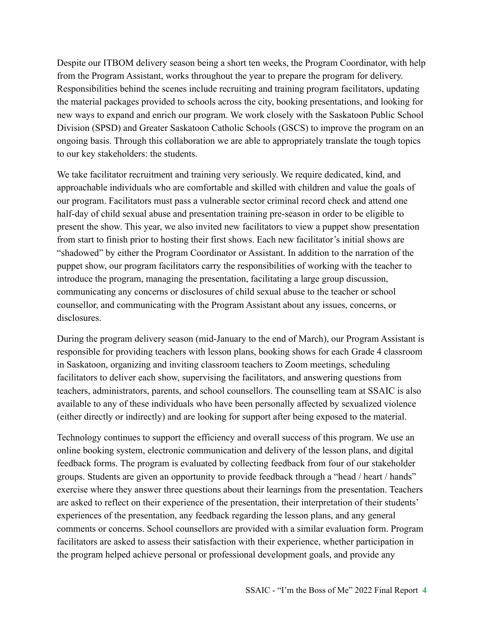Despite our ITBOM delivery season being a short ten weeks, the Program Coordinator, with help from the Program Assistant, works throughout the year to prepare the program for delivery. Responsibilities behind the scenes include recruiting and training program facilitators, updating the material packages provided to schools across the city, booking presentations, and looking for new ways to expand and enrich our program. We work closely with the Saskatoon Public School Division (SPSD) and Greater Saskatoon Catholic Schools (GSCS) to improve the program on an ongoing basis. Through this collaboration we are able to appropriately translate the tough topics to our key stakeholders: the students.

We take facilitator recruitment and training very seriously. We require dedicated, kind, and approachable individuals who are comfortable and skilled with children and value the goals of our program. Facilitators must pass a vulnerable sector criminal record check and attend one half-day of child sexual abuse and presentation training pre-season in order to be eligible to present the show. This year, we also invited new facilitators to view a puppet show presentation from start to finish prior to hosting their first shows. Each new facilitator's initial shows are "shadowed" by either the Program Coordinator or Assistant. In addition to the narration of the puppet show, our program facilitators carry the responsibilities of working with the teacher to introduce the program, managing the presentation, facilitating a large group discussion, communicating any concerns or disclosures of child sexual abuse to the teacher or school counsellor, and communicating with the Program Assistant about any issues, concerns, or disclosures.

During the program delivery season (mid-January to the end of March), our Program Assistant is responsible for providing teachers with lesson plans, booking shows for each Grade 4 classroom in Saskatoon, organizing and inviting classroom teachers to Zoom meetings, scheduling facilitators to deliver each show, supervising the facilitators, and answering questions from teachers, administrators, parents, and school counsellors. The counselling team at SSAIC is also available to any of these individuals who have been personally affected by sexualized violence (either directly or indirectly) and are looking for support after being exposed to the material.

Technology continues to support the efficiency and overall success of this program. We use an online booking system, electronic communication and delivery of the lesson plans, and digital feedback forms. The program is evaluated by collecting feedback from four of our stakeholder groups. Students are given an opportunity to provide feedback through a "head / heart / hands" exercise where they answer three questions about their learnings from the presentation. Teachers are asked to reflect on their experience of the presentation, their interpretation of their students' experiences of the presentation, any feedback regarding the lesson plans, and any general comments or concerns. School counsellors are provided with a similar evaluation form. Program facilitators are asked to assess their satisfaction with their experience, whether participation in the program helped achieve personal or professional development goals, and provide any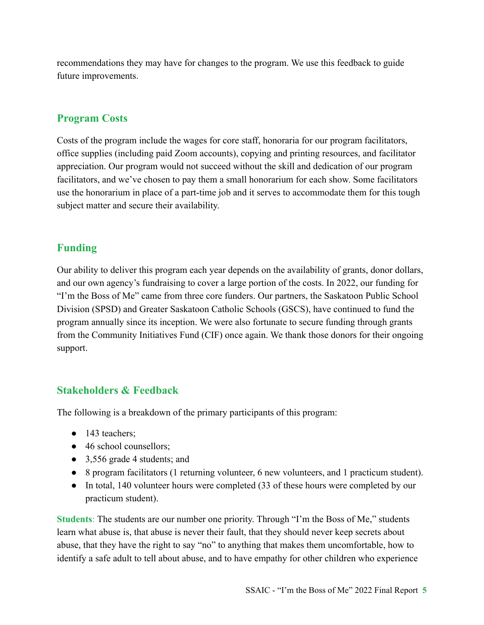recommendations they may have for changes to the program. We use this feedback to guide future improvements.

# **Program Costs**

Costs of the program include the wages for core staff, honoraria for our program facilitators, office supplies (including paid Zoom accounts), copying and printing resources, and facilitator appreciation. Our program would not succeed without the skill and dedication of our program facilitators, and we've chosen to pay them a small honorarium for each show. Some facilitators use the honorarium in place of a part-time job and it serves to accommodate them for this tough subject matter and secure their availability.

## **Funding**

Our ability to deliver this program each year depends on the availability of grants, donor dollars, and our own agency's fundraising to cover a large portion of the costs. In 2022, our funding for "I'm the Boss of Me" came from three core funders. Our partners, the Saskatoon Public School Division (SPSD) and Greater Saskatoon Catholic Schools (GSCS), have continued to fund the program annually since its inception. We were also fortunate to secure funding through grants from the Community Initiatives Fund (CIF) once again. We thank those donors for their ongoing support.

## **Stakeholders & Feedback**

The following is a breakdown of the primary participants of this program:

- 143 teachers;
- 46 school counsellors;
- 3,556 grade 4 students; and
- 8 program facilitators (1 returning volunteer, 6 new volunteers, and 1 practicum student).
- In total, 140 volunteer hours were completed (33 of these hours were completed by our practicum student).

**Students**: The students are our number one priority. Through "I'm the Boss of Me," students learn what abuse is, that abuse is never their fault, that they should never keep secrets about abuse, that they have the right to say "no" to anything that makes them uncomfortable, how to identify a safe adult to tell about abuse, and to have empathy for other children who experience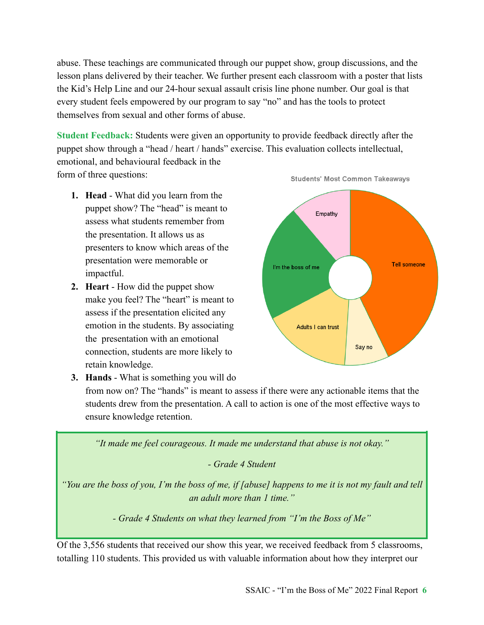abuse. These teachings are communicated through our puppet show, group discussions, and the lesson plans delivered by their teacher. We further present each classroom with a poster that lists the Kid's Help Line and our 24-hour sexual assault crisis line phone number. Our goal is that every student feels empowered by our program to say "no" and has the tools to protect themselves from sexual and other forms of abuse.

**Student Feedback:** Students were given an opportunity to provide feedback directly after the puppet show through a "head / heart / hands" exercise. This evaluation collects intellectual, emotional, and behavioural feedback in the form of three questions: **Students' Most Common Takeaways** 

- **1. Head** What did you learn from the puppet show? The "head" is meant to assess what students remember from the presentation. It allows us as presenters to know which areas of the presentation were memorable or impactful.
- **2. Heart** How did the puppet show make you feel? The "heart" is meant to assess if the presentation elicited any emotion in the students. By associating the presentation with an emotional connection, students are more likely to retain knowledge.



**3. Hands** - What is something you will do

from now on? The "hands" is meant to assess if there were any actionable items that the students drew from the presentation. A call to action is one of the most effective ways to ensure knowledge retention.

*"It made me feel courageous. It made me understand that abuse is not okay."*

*- Grade 4 Student*

*"You are the boss of you, I'm the boss of me, if [abuse] happens to me it is not my fault and tell an adult more than 1 time."*

*- Grade 4 Students on what they learned from "I'm the Boss of Me"*

Of the 3,556 students that received our show this year, we received feedback from 5 classrooms, totalling 110 students. This provided us with valuable information about how they interpret our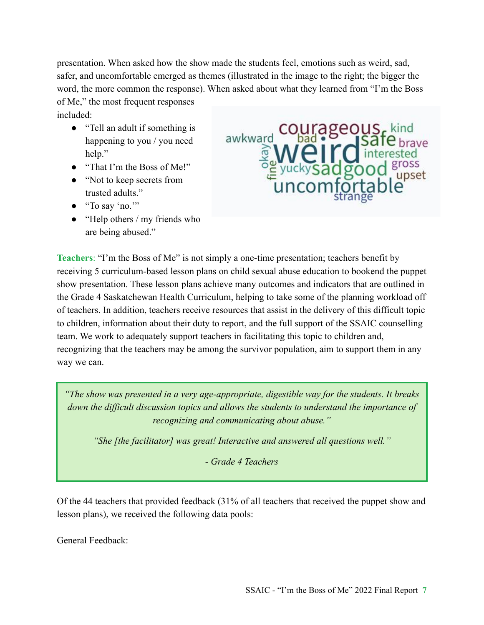presentation. When asked how the show made the students feel, emotions such as weird, sad, safer, and uncomfortable emerged as themes (illustrated in the image to the right; the bigger the word, the more common the response). When asked about what they learned from "I'm the Boss of Me," the most frequent responses included:

- "Tell an adult if something is happening to you / you need help."
- "That I'm the Boss of Me!"
- "Not to keep secrets from trusted adults."
- "To say 'no.'"
- "Help others / my friends who are being abused."



**Teachers**: "I'm the Boss of Me" is not simply a one-time presentation; teachers benefit by receiving 5 curriculum-based lesson plans on child sexual abuse education to bookend the puppet show presentation. These lesson plans achieve many outcomes and indicators that are outlined in the Grade 4 Saskatchewan Health Curriculum, helping to take some of the planning workload off of teachers. In addition, teachers receive resources that assist in the delivery of this difficult topic to children, information about their duty to report, and the full support of the SSAIC counselling team. We work to adequately support teachers in facilitating this topic to children and, recognizing that the teachers may be among the survivor population, aim to support them in any way we can.

*"The show was presented in a very age-appropriate, digestible way for the students. It breaks down the difficult discussion topics and allows the students to understand the importance of recognizing and communicating about abuse."*

*"She [the facilitator] was great! Interactive and answered all questions well."*

*- Grade 4 Teachers*

Of the 44 teachers that provided feedback (31% of all teachers that received the puppet show and lesson plans), we received the following data pools:

General Feedback: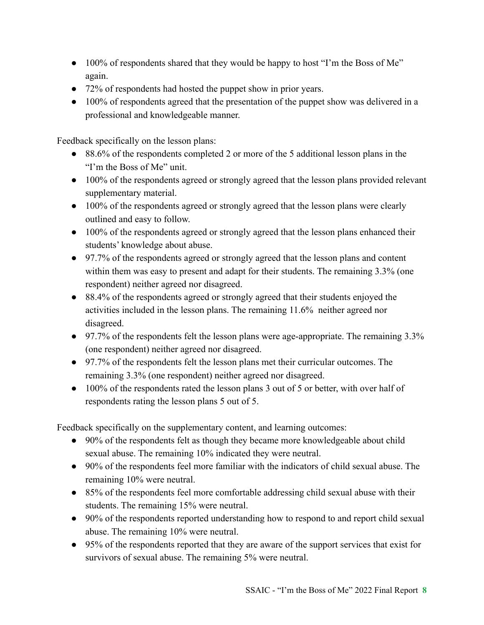- 100% of respondents shared that they would be happy to host "I'm the Boss of Me" again.
- 72% of respondents had hosted the puppet show in prior years.
- 100% of respondents agreed that the presentation of the puppet show was delivered in a professional and knowledgeable manner.

Feedback specifically on the lesson plans:

- 88.6% of the respondents completed 2 or more of the 5 additional lesson plans in the "I'm the Boss of Me" unit.
- 100% of the respondents agreed or strongly agreed that the lesson plans provided relevant supplementary material.
- 100% of the respondents agreed or strongly agreed that the lesson plans were clearly outlined and easy to follow.
- 100% of the respondents agreed or strongly agreed that the lesson plans enhanced their students' knowledge about abuse.
- 97.7% of the respondents agreed or strongly agreed that the lesson plans and content within them was easy to present and adapt for their students. The remaining 3.3% (one respondent) neither agreed nor disagreed.
- 88.4% of the respondents agreed or strongly agreed that their students enjoyed the activities included in the lesson plans. The remaining 11.6% neither agreed nor disagreed.
- 97.7% of the respondents felt the lesson plans were age-appropriate. The remaining 3.3% (one respondent) neither agreed nor disagreed.
- 97.7% of the respondents felt the lesson plans met their curricular outcomes. The remaining 3.3% (one respondent) neither agreed nor disagreed.
- 100% of the respondents rated the lesson plans 3 out of 5 or better, with over half of respondents rating the lesson plans 5 out of 5.

Feedback specifically on the supplementary content, and learning outcomes:

- 90% of the respondents felt as though they became more knowledgeable about child sexual abuse. The remaining 10% indicated they were neutral.
- 90% of the respondents feel more familiar with the indicators of child sexual abuse. The remaining 10% were neutral.
- 85% of the respondents feel more comfortable addressing child sexual abuse with their students. The remaining 15% were neutral.
- 90% of the respondents reported understanding how to respond to and report child sexual abuse. The remaining 10% were neutral.
- 95% of the respondents reported that they are aware of the support services that exist for survivors of sexual abuse. The remaining 5% were neutral.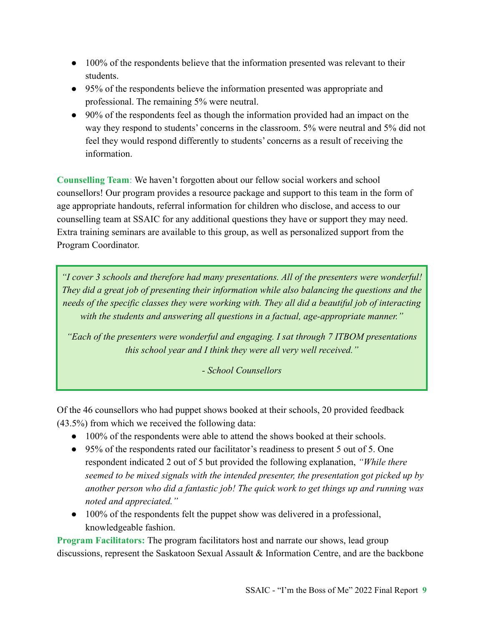- 100% of the respondents believe that the information presented was relevant to their students.
- 95% of the respondents believe the information presented was appropriate and professional. The remaining 5% were neutral.
- 90% of the respondents feel as though the information provided had an impact on the way they respond to students' concerns in the classroom. 5% were neutral and 5% did not feel they would respond differently to students' concerns as a result of receiving the information.

**Counselling Team**: We haven't forgotten about our fellow social workers and school counsellors! Our program provides a resource package and support to this team in the form of age appropriate handouts, referral information for children who disclose, and access to our counselling team at SSAIC for any additional questions they have or support they may need. Extra training seminars are available to this group, as well as personalized support from the Program Coordinator.

*"I cover 3 schools and therefore had many presentations. All of the presenters were wonderful! They did a great job of presenting their information while also balancing the questions and the needs of the specific classes they were working with. They all did a beautiful job of interacting with the students and answering all questions in a factual, age-appropriate manner."*

*"Each of the presenters were wonderful and engaging. I sat through 7 ITBOM presentations this school year and I think they were all very well received."*

*- School Counsellors*

Of the 46 counsellors who had puppet shows booked at their schools, 20 provided feedback (43.5%) from which we received the following data:

- 100% of the respondents were able to attend the shows booked at their schools.
- 95% of the respondents rated our facilitator's readiness to present 5 out of 5. One respondent indicated 2 out of 5 but provided the following explanation, *"While there seemed to be mixed signals with the intended presenter, the presentation got picked up by another person who did a fantastic job! The quick work to get things up and running was noted and appreciated."*
- 100% of the respondents felt the puppet show was delivered in a professional, knowledgeable fashion.

**Program Facilitators:** The program facilitators host and narrate our shows, lead group discussions, represent the Saskatoon Sexual Assault & Information Centre, and are the backbone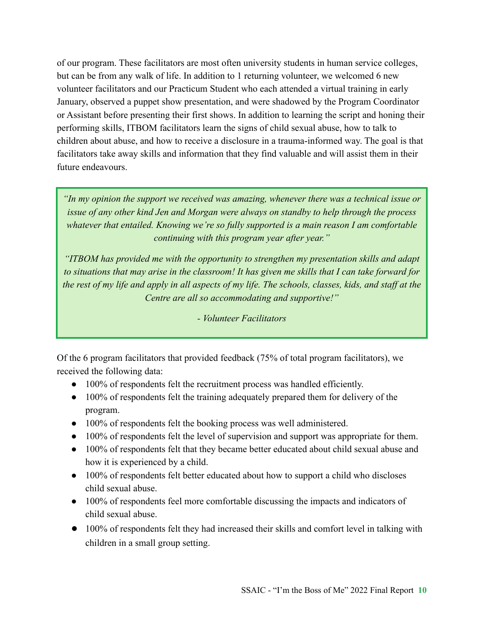of our program. These facilitators are most often university students in human service colleges, but can be from any walk of life. In addition to 1 returning volunteer, we welcomed 6 new volunteer facilitators and our Practicum Student who each attended a virtual training in early January, observed a puppet show presentation, and were shadowed by the Program Coordinator or Assistant before presenting their first shows. In addition to learning the script and honing their performing skills, ITBOM facilitators learn the signs of child sexual abuse, how to talk to children about abuse, and how to receive a disclosure in a trauma-informed way. The goal is that facilitators take away skills and information that they find valuable and will assist them in their future endeavours.

*"In my opinion the support we received was amazing, whenever there was a technical issue or issue of any other kind Jen and Morgan were always on standby to help through the process whatever that entailed. Knowing we're so fully supported is a main reason I am comfortable continuing with this program year after year."*

*"ITBOM has provided me with the opportunity to strengthen my presentation skills and adapt to situations that may arise in the classroom! It has given me skills that I can take forward for the rest of my life and apply in all aspects of my life. The schools, classes, kids, and staff at the Centre are all so accommodating and supportive!"*

#### *- Volunteer Facilitators*

Of the 6 program facilitators that provided feedback (75% of total program facilitators), we received the following data:

- 100% of respondents felt the recruitment process was handled efficiently.
- 100% of respondents felt the training adequately prepared them for delivery of the program.
- 100% of respondents felt the booking process was well administered.
- 100% of respondents felt the level of supervision and support was appropriate for them.
- 100% of respondents felt that they became better educated about child sexual abuse and how it is experienced by a child.
- 100% of respondents felt better educated about how to support a child who discloses child sexual abuse.
- 100% of respondents feel more comfortable discussing the impacts and indicators of child sexual abuse.
- 100% of respondents felt they had increased their skills and comfort level in talking with children in a small group setting.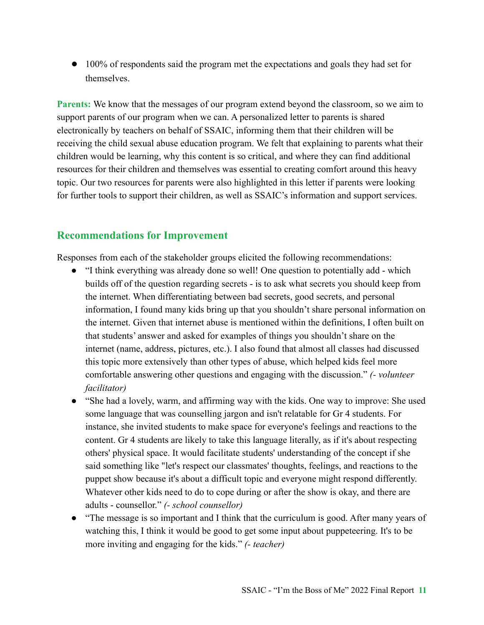● 100% of respondents said the program met the expectations and goals they had set for themselves.

**Parents:** We know that the messages of our program extend beyond the classroom, so we aim to support parents of our program when we can. A personalized letter to parents is shared electronically by teachers on behalf of SSAIC, informing them that their children will be receiving the child sexual abuse education program. We felt that explaining to parents what their children would be learning, why this content is so critical, and where they can find additional resources for their children and themselves was essential to creating comfort around this heavy topic. Our two resources for parents were also highlighted in this letter if parents were looking for further tools to support their children, as well as SSAIC's information and support services.

#### **Recommendations for Improvement**

Responses from each of the stakeholder groups elicited the following recommendations:

- "I think everything was already done so well! One question to potentially add which builds off of the question regarding secrets - is to ask what secrets you should keep from the internet. When differentiating between bad secrets, good secrets, and personal information, I found many kids bring up that you shouldn't share personal information on the internet. Given that internet abuse is mentioned within the definitions, I often built on that students' answer and asked for examples of things you shouldn't share on the internet (name, address, pictures, etc.). I also found that almost all classes had discussed this topic more extensively than other types of abuse, which helped kids feel more comfortable answering other questions and engaging with the discussion." *(- volunteer facilitator)*
- "She had a lovely, warm, and affirming way with the kids. One way to improve: She used some language that was counselling jargon and isn't relatable for Gr 4 students. For instance, she invited students to make space for everyone's feelings and reactions to the content. Gr 4 students are likely to take this language literally, as if it's about respecting others' physical space. It would facilitate students' understanding of the concept if she said something like "let's respect our classmates' thoughts, feelings, and reactions to the puppet show because it's about a difficult topic and everyone might respond differently. Whatever other kids need to do to cope during or after the show is okay, and there are adults - counsellor." *(- school counsellor)*
- "The message is so important and I think that the curriculum is good. After many years of watching this, I think it would be good to get some input about puppeteering. It's to be more inviting and engaging for the kids." *(- teacher)*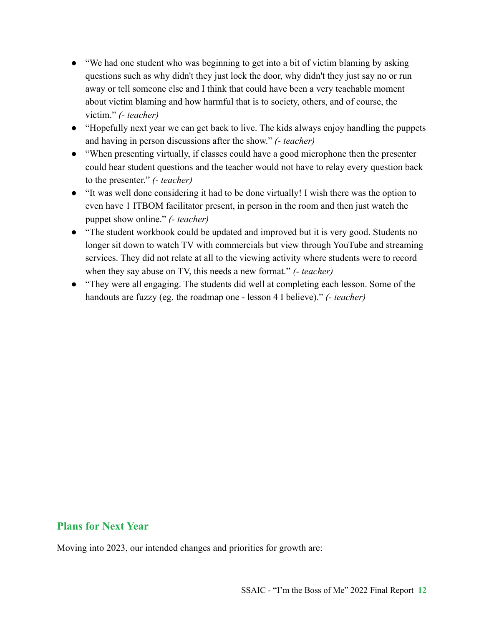- "We had one student who was beginning to get into a bit of victim blaming by asking questions such as why didn't they just lock the door, why didn't they just say no or run away or tell someone else and I think that could have been a very teachable moment about victim blaming and how harmful that is to society, others, and of course, the victim." *(- teacher)*
- "Hopefully next year we can get back to live. The kids always enjoy handling the puppets and having in person discussions after the show." *(- teacher)*
- "When presenting virtually, if classes could have a good microphone then the presenter could hear student questions and the teacher would not have to relay every question back to the presenter." *(- teacher)*
- "It was well done considering it had to be done virtually! I wish there was the option to even have 1 ITBOM facilitator present, in person in the room and then just watch the puppet show online." *(- teacher)*
- "The student workbook could be updated and improved but it is very good. Students no longer sit down to watch TV with commercials but view through YouTube and streaming services. They did not relate at all to the viewing activity where students were to record when they say abuse on TV, this needs a new format." *(- teacher)*
- "They were all engaging. The students did well at completing each lesson. Some of the handouts are fuzzy (eg. the roadmap one - lesson 4 I believe)." *(- teacher)*

#### **Plans for Next Year**

Moving into 2023, our intended changes and priorities for growth are: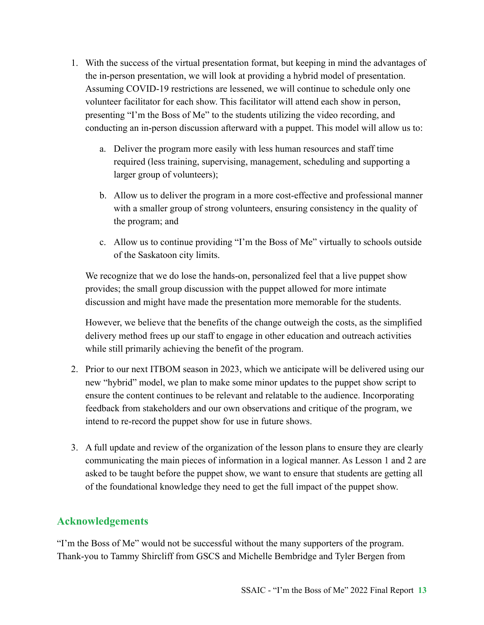- 1. With the success of the virtual presentation format, but keeping in mind the advantages of the in-person presentation, we will look at providing a hybrid model of presentation. Assuming COVID-19 restrictions are lessened, we will continue to schedule only one volunteer facilitator for each show. This facilitator will attend each show in person, presenting "I'm the Boss of Me" to the students utilizing the video recording, and conducting an in-person discussion afterward with a puppet. This model will allow us to:
	- a. Deliver the program more easily with less human resources and staff time required (less training, supervising, management, scheduling and supporting a larger group of volunteers);
	- b. Allow us to deliver the program in a more cost-effective and professional manner with a smaller group of strong volunteers, ensuring consistency in the quality of the program; and
	- c. Allow us to continue providing "I'm the Boss of Me" virtually to schools outside of the Saskatoon city limits.

We recognize that we do lose the hands-on, personalized feel that a live puppet show provides; the small group discussion with the puppet allowed for more intimate discussion and might have made the presentation more memorable for the students.

However, we believe that the benefits of the change outweigh the costs, as the simplified delivery method frees up our staff to engage in other education and outreach activities while still primarily achieving the benefit of the program.

- 2. Prior to our next ITBOM season in 2023, which we anticipate will be delivered using our new "hybrid" model, we plan to make some minor updates to the puppet show script to ensure the content continues to be relevant and relatable to the audience. Incorporating feedback from stakeholders and our own observations and critique of the program, we intend to re-record the puppet show for use in future shows.
- 3. A full update and review of the organization of the lesson plans to ensure they are clearly communicating the main pieces of information in a logical manner. As Lesson 1 and 2 are asked to be taught before the puppet show, we want to ensure that students are getting all of the foundational knowledge they need to get the full impact of the puppet show.

## **Acknowledgements**

"I'm the Boss of Me" would not be successful without the many supporters of the program. Thank-you to Tammy Shircliff from GSCS and Michelle Bembridge and Tyler Bergen from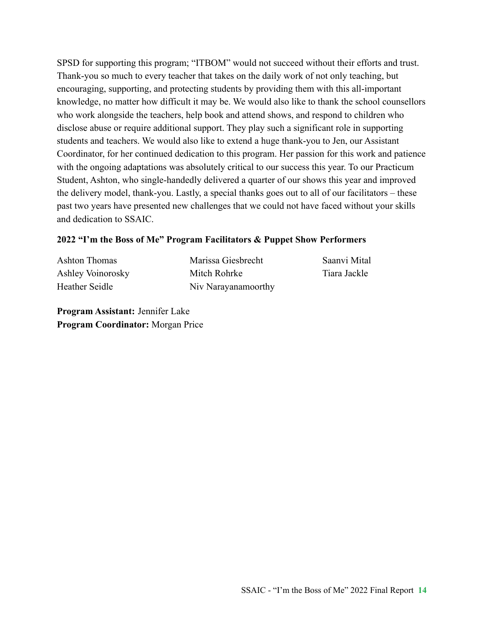SPSD for supporting this program; "ITBOM" would not succeed without their efforts and trust. Thank-you so much to every teacher that takes on the daily work of not only teaching, but encouraging, supporting, and protecting students by providing them with this all-important knowledge, no matter how difficult it may be. We would also like to thank the school counsellors who work alongside the teachers, help book and attend shows, and respond to children who disclose abuse or require additional support. They play such a significant role in supporting students and teachers. We would also like to extend a huge thank-you to Jen, our Assistant Coordinator, for her continued dedication to this program. Her passion for this work and patience with the ongoing adaptations was absolutely critical to our success this year. To our Practicum Student, Ashton, who single-handedly delivered a quarter of our shows this year and improved the delivery model, thank-you. Lastly, a special thanks goes out to all of our facilitators – these past two years have presented new challenges that we could not have faced without your skills and dedication to SSAIC.

#### **2022 "I'm the Boss of Me" Program Facilitators & Puppet Show Performers**

Ashton Thomas Ashley Voinorosky Heather Seidle

Marissa Giesbrecht Mitch Rohrke Niv Narayanamoorthy Saanvi Mital Tiara Jackle

**Program Assistant:** Jennifer Lake **Program Coordinator:** Morgan Price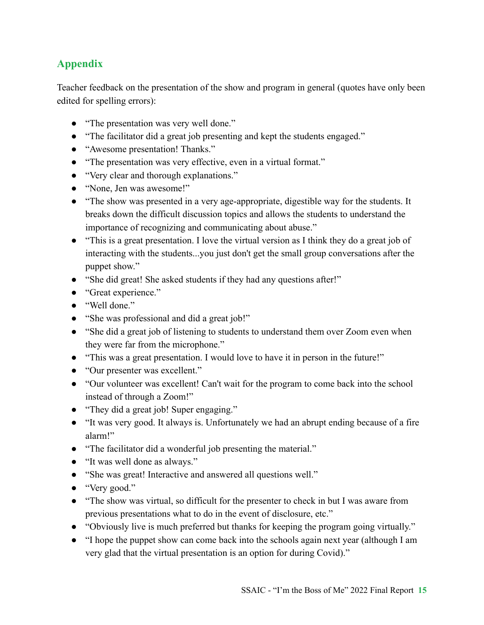# **Appendix**

Teacher feedback on the presentation of the show and program in general (quotes have only been edited for spelling errors):

- "The presentation was very well done."
- "The facilitator did a great job presenting and kept the students engaged."
- "Awesome presentation! Thanks."
- "The presentation was very effective, even in a virtual format."
- "Very clear and thorough explanations."
- "None, Jen was awesome!"
- "The show was presented in a very age-appropriate, digestible way for the students. It breaks down the difficult discussion topics and allows the students to understand the importance of recognizing and communicating about abuse."
- "This is a great presentation. I love the virtual version as I think they do a great job of interacting with the students...you just don't get the small group conversations after the puppet show."
- "She did great! She asked students if they had any questions after!"
- "Great experience."
- "Well done."
- "She was professional and did a great job!"
- "She did a great job of listening to students to understand them over Zoom even when they were far from the microphone."
- "This was a great presentation. I would love to have it in person in the future!"
- "Our presenter was excellent."
- "Our volunteer was excellent! Can't wait for the program to come back into the school instead of through a Zoom!"
- "They did a great job! Super engaging."
- "It was very good. It always is. Unfortunately we had an abrupt ending because of a fire alarm!"
- "The facilitator did a wonderful job presenting the material."
- "It was well done as always."
- "She was great! Interactive and answered all questions well."
- "Very good."
- "The show was virtual, so difficult for the presenter to check in but I was aware from previous presentations what to do in the event of disclosure, etc."
- "Obviously live is much preferred but thanks for keeping the program going virtually."
- "I hope the puppet show can come back into the schools again next year (although I am very glad that the virtual presentation is an option for during Covid)."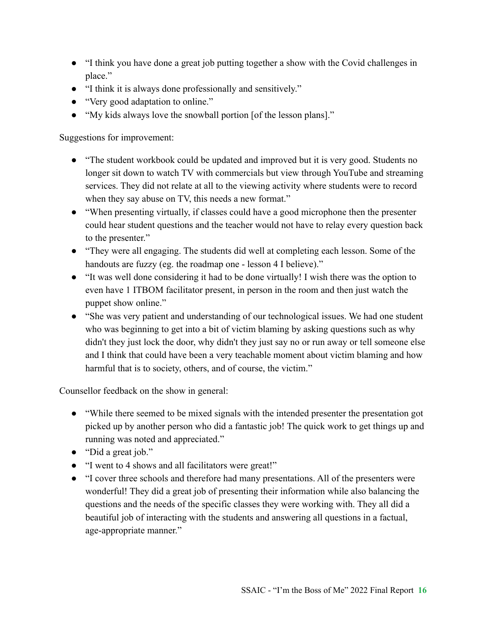- "I think you have done a great job putting together a show with the Covid challenges in place."
- "I think it is always done professionally and sensitively."
- "Very good adaptation to online."
- "My kids always love the snowball portion [of the lesson plans]."

Suggestions for improvement:

- "The student workbook could be updated and improved but it is very good. Students no longer sit down to watch TV with commercials but view through YouTube and streaming services. They did not relate at all to the viewing activity where students were to record when they say abuse on TV, this needs a new format."
- "When presenting virtually, if classes could have a good microphone then the presenter could hear student questions and the teacher would not have to relay every question back to the presenter."
- "They were all engaging. The students did well at completing each lesson. Some of the handouts are fuzzy (eg. the roadmap one - lesson 4 I believe)."
- "It was well done considering it had to be done virtually! I wish there was the option to even have 1 ITBOM facilitator present, in person in the room and then just watch the puppet show online."
- "She was very patient and understanding of our technological issues. We had one student who was beginning to get into a bit of victim blaming by asking questions such as why didn't they just lock the door, why didn't they just say no or run away or tell someone else and I think that could have been a very teachable moment about victim blaming and how harmful that is to society, others, and of course, the victim."

Counsellor feedback on the show in general:

- "While there seemed to be mixed signals with the intended presenter the presentation got picked up by another person who did a fantastic job! The quick work to get things up and running was noted and appreciated."
- "Did a great job."
- "I went to 4 shows and all facilitators were great!"
- "I cover three schools and therefore had many presentations. All of the presenters were wonderful! They did a great job of presenting their information while also balancing the questions and the needs of the specific classes they were working with. They all did a beautiful job of interacting with the students and answering all questions in a factual, age-appropriate manner."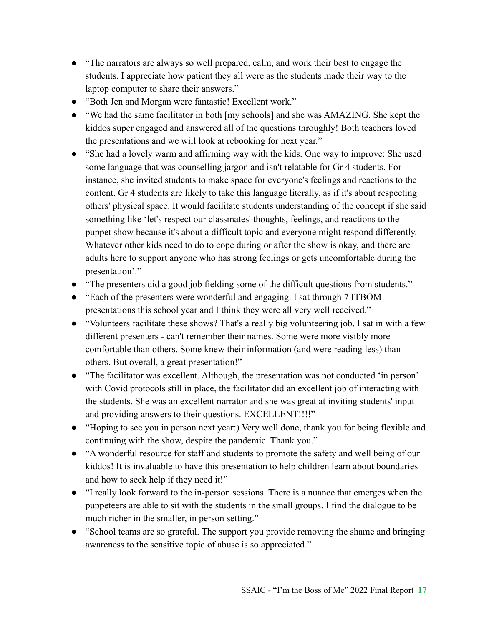- "The narrators are always so well prepared, calm, and work their best to engage the students. I appreciate how patient they all were as the students made their way to the laptop computer to share their answers."
- "Both Jen and Morgan were fantastic! Excellent work."
- "We had the same facilitator in both [my schools] and she was AMAZING. She kept the kiddos super engaged and answered all of the questions throughly! Both teachers loved the presentations and we will look at rebooking for next year."
- "She had a lovely warm and affirming way with the kids. One way to improve: She used some language that was counselling jargon and isn't relatable for Gr 4 students. For instance, she invited students to make space for everyone's feelings and reactions to the content. Gr 4 students are likely to take this language literally, as if it's about respecting others' physical space. It would facilitate students understanding of the concept if she said something like 'let's respect our classmates' thoughts, feelings, and reactions to the puppet show because it's about a difficult topic and everyone might respond differently. Whatever other kids need to do to cope during or after the show is okay, and there are adults here to support anyone who has strong feelings or gets uncomfortable during the presentation'."
- "The presenters did a good job fielding some of the difficult questions from students."
- "Each of the presenters were wonderful and engaging. I sat through 7 ITBOM presentations this school year and I think they were all very well received."
- "Volunteers facilitate these shows? That's a really big volunteering job. I sat in with a few different presenters - can't remember their names. Some were more visibly more comfortable than others. Some knew their information (and were reading less) than others. But overall, a great presentation!"
- "The facilitator was excellent. Although, the presentation was not conducted 'in person' with Covid protocols still in place, the facilitator did an excellent job of interacting with the students. She was an excellent narrator and she was great at inviting students' input and providing answers to their questions. EXCELLENT!!!!"
- "Hoping to see you in person next year:) Very well done, thank you for being flexible and continuing with the show, despite the pandemic. Thank you."
- "A wonderful resource for staff and students to promote the safety and well being of our kiddos! It is invaluable to have this presentation to help children learn about boundaries and how to seek help if they need it!"
- "I really look forward to the in-person sessions. There is a nuance that emerges when the puppeteers are able to sit with the students in the small groups. I find the dialogue to be much richer in the smaller, in person setting."
- "School teams are so grateful. The support you provide removing the shame and bringing awareness to the sensitive topic of abuse is so appreciated."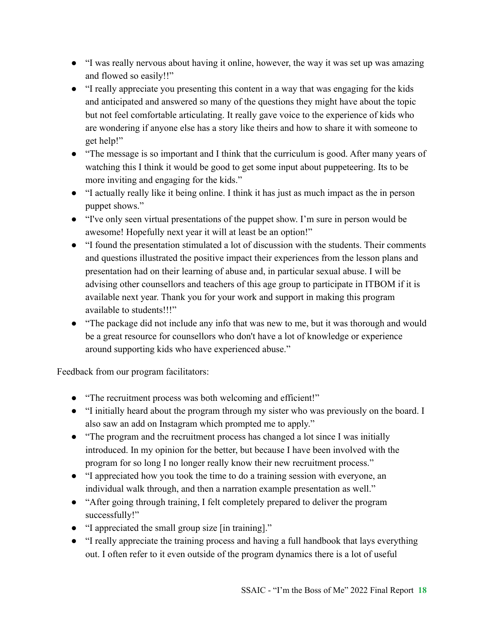- "I was really nervous about having it online, however, the way it was set up was amazing and flowed so easily!!"
- "I really appreciate you presenting this content in a way that was engaging for the kids and anticipated and answered so many of the questions they might have about the topic but not feel comfortable articulating. It really gave voice to the experience of kids who are wondering if anyone else has a story like theirs and how to share it with someone to get help!"
- "The message is so important and I think that the curriculum is good. After many years of watching this I think it would be good to get some input about puppeteering. Its to be more inviting and engaging for the kids."
- "I actually really like it being online. I think it has just as much impact as the in person puppet shows."
- "I've only seen virtual presentations of the puppet show. I'm sure in person would be awesome! Hopefully next year it will at least be an option!"
- "I found the presentation stimulated a lot of discussion with the students. Their comments and questions illustrated the positive impact their experiences from the lesson plans and presentation had on their learning of abuse and, in particular sexual abuse. I will be advising other counsellors and teachers of this age group to participate in ITBOM if it is available next year. Thank you for your work and support in making this program available to students!!!"
- "The package did not include any info that was new to me, but it was thorough and would be a great resource for counsellors who don't have a lot of knowledge or experience around supporting kids who have experienced abuse."

Feedback from our program facilitators:

- "The recruitment process was both welcoming and efficient!"
- "I initially heard about the program through my sister who was previously on the board. I also saw an add on Instagram which prompted me to apply."
- "The program and the recruitment process has changed a lot since I was initially introduced. In my opinion for the better, but because I have been involved with the program for so long I no longer really know their new recruitment process."
- "I appreciated how you took the time to do a training session with everyone, an individual walk through, and then a narration example presentation as well."
- "After going through training, I felt completely prepared to deliver the program successfully!"
- "I appreciated the small group size [in training]."
- "I really appreciate the training process and having a full handbook that lays everything out. I often refer to it even outside of the program dynamics there is a lot of useful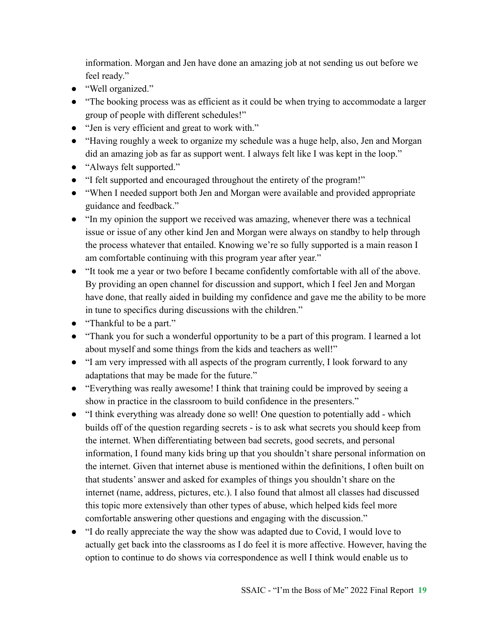information. Morgan and Jen have done an amazing job at not sending us out before we feel ready."

- "Well organized."
- "The booking process was as efficient as it could be when trying to accommodate a larger group of people with different schedules!"
- "Jen is very efficient and great to work with."
- "Having roughly a week to organize my schedule was a huge help, also, Jen and Morgan did an amazing job as far as support went. I always felt like I was kept in the loop."
- "Always felt supported."
- "I felt supported and encouraged throughout the entirety of the program!"
- "When I needed support both Jen and Morgan were available and provided appropriate guidance and feedback."
- "In my opinion the support we received was amazing, whenever there was a technical issue or issue of any other kind Jen and Morgan were always on standby to help through the process whatever that entailed. Knowing we're so fully supported is a main reason I am comfortable continuing with this program year after year."
- "It took me a year or two before I became confidently comfortable with all of the above. By providing an open channel for discussion and support, which I feel Jen and Morgan have done, that really aided in building my confidence and gave me the ability to be more in tune to specifics during discussions with the children."
- "Thankful to be a part."
- "Thank you for such a wonderful opportunity to be a part of this program. I learned a lot about myself and some things from the kids and teachers as well!"
- "I am very impressed with all aspects of the program currently, I look forward to any adaptations that may be made for the future."
- "Everything was really awesome! I think that training could be improved by seeing a show in practice in the classroom to build confidence in the presenters."
- "I think everything was already done so well! One question to potentially add which builds off of the question regarding secrets - is to ask what secrets you should keep from the internet. When differentiating between bad secrets, good secrets, and personal information, I found many kids bring up that you shouldn't share personal information on the internet. Given that internet abuse is mentioned within the definitions, I often built on that students' answer and asked for examples of things you shouldn't share on the internet (name, address, pictures, etc.). I also found that almost all classes had discussed this topic more extensively than other types of abuse, which helped kids feel more comfortable answering other questions and engaging with the discussion."
- "I do really appreciate the way the show was adapted due to Covid, I would love to actually get back into the classrooms as I do feel it is more affective. However, having the option to continue to do shows via correspondence as well I think would enable us to